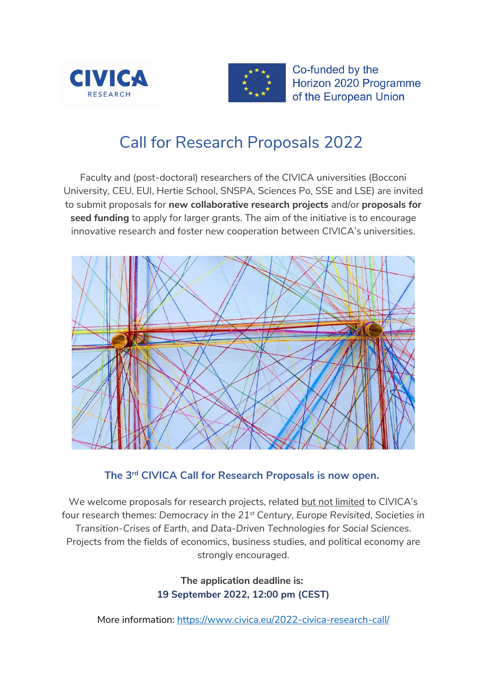



Co-funded by the Horizon 2020 Programme of the European Union

# Call for Research Proposals 2022

Faculty and (post-doctoral) researchers of the CIVICA universities (Bocconi University, CEU, EUI, Hertie School, SNSPA, Sciences Po, SSE and LSE) are invited to submit proposals for **new collaborative research projects** and/or **proposals for seed funding** to apply for larger grants. The aim of the initiative is to encourage innovative research and foster new cooperation between CIVICA's universities.



#### **The 3rd CIVICA Call for Research Proposals is now open.**

We welcome proposals for research projects, related but not limited to CIVICA's four research themes: *Democracy in the 21st Century*, *Europe Revisited*, *Societies in Transition-Crises of Earth*, and *Data-Driven Technologies for Social Sciences*. Projects from the fields of economics, business studies, and political economy are strongly encouraged.

> **The application deadline is: 19 September 2022, 12:00 pm (CEST)**

More information:<https://www.civica.eu/2022-civica-research-call/>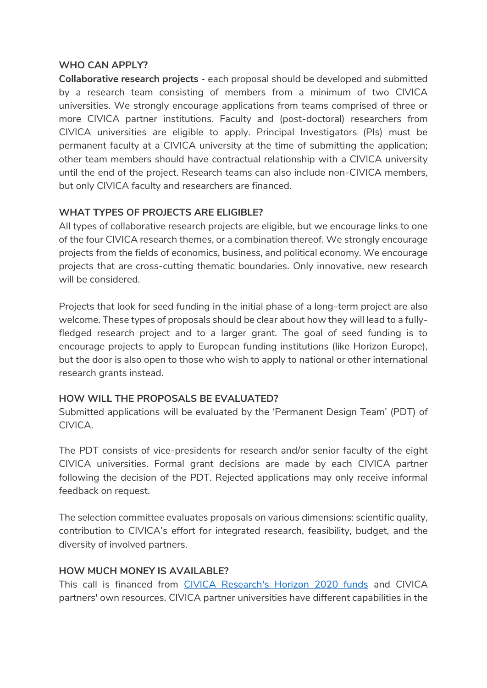#### **WHO CAN APPLY?**

**Collaborative research projects** - each proposal should be developed and submitted by a research team consisting of members from a minimum of two CIVICA universities. We strongly encourage applications from teams comprised of three or more CIVICA partner institutions. Faculty and (post-doctoral) researchers from CIVICA universities are eligible to apply. Principal Investigators (PIs) must be permanent faculty at a CIVICA university at the time of submitting the application; other team members should have contractual relationship with a CIVICA university until the end of the project. Research teams can also include non-CIVICA members, but only CIVICA faculty and researchers are financed.

#### **WHAT TYPES OF PROJECTS ARE ELIGIBLE?**

All types of collaborative research projects are eligible, but we encourage links to one of the four CIVICA research themes, or a combination thereof. We strongly encourage projects from the fields of economics, business, and political economy. We encourage projects that are cross-cutting thematic boundaries. Only innovative, new research will be considered.

Projects that look for seed funding in the initial phase of a long-term project are also welcome. These types of proposals should be clear about how they will lead to a fullyfledged research project and to a larger grant. The goal of seed funding is to encourage projects to apply to European funding institutions (like Horizon Europe), but the door is also open to those who wish to apply to national or other international research grants instead.

#### **HOW WILL THE PROPOSALS BE EVALUATED?**

Submitted applications will be evaluated by the 'Permanent Design Team' (PDT) of CIVICA.

The PDT consists of vice-presidents for research and/or senior faculty of the eight CIVICA universities. Formal grant decisions are made by each CIVICA partner following the decision of the PDT. Rejected applications may only receive informal feedback on request.

The selection committee evaluates proposals on various dimensions: scientific quality, contribution to CIVICA's effort for integrated research, feasibility, budget, and the diversity of involved partners.

#### **HOW MUCH MONEY IS AVAILABLE?**

This call is financed from [CIVICA Research's Horizon 2020 funds](https://www.civica.eu/news-events/news/detail/civica-research-and-innovation-strengthened-horizon-2020/) and CIVICA partners' own resources. CIVICA partner universities have different capabilities in the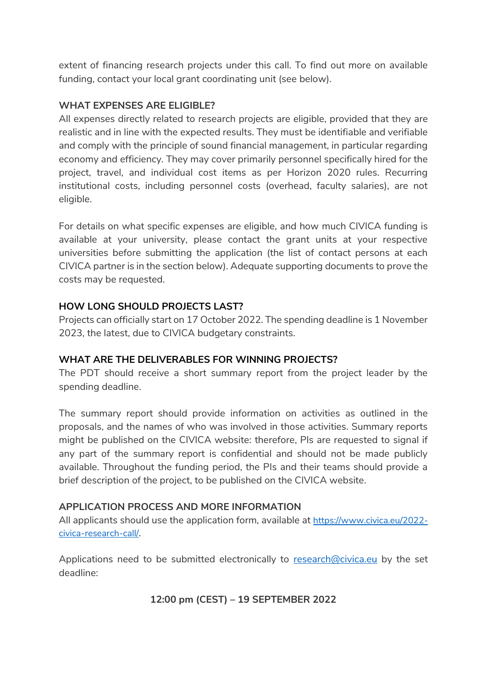extent of financing research projects under this call. To find out more on available funding, contact your local grant coordinating unit (see below).

#### **WHAT EXPENSES ARE ELIGIBLE?**

All expenses directly related to research projects are eligible, provided that they are realistic and in line with the expected results. They must be identifiable and verifiable and comply with the principle of sound financial management, in particular regarding economy and efficiency. They may cover primarily personnel specifically hired for the project, travel, and individual cost items as per Horizon 2020 rules. Recurring institutional costs, including personnel costs (overhead, faculty salaries), are not eligible.

For details on what specific expenses are eligible, and how much CIVICA funding is available at your university, please contact the grant units at your respective universities before submitting the application (the list of contact persons at each CIVICA partner is in the section below). Adequate supporting documents to prove the costs may be requested.

#### **HOW LONG SHOULD PROJECTS LAST?**

Projects can officially start on 17 October 2022. The spending deadline is 1 November 2023, the latest, due to CIVICA budgetary constraints.

#### **WHAT ARE THE DELIVERABLES FOR WINNING PROJECTS?**

The PDT should receive a short summary report from the project leader by the spending deadline.

The summary report should provide information on activities as outlined in the proposals, and the names of who was involved in those activities. Summary reports might be published on the CIVICA website: therefore, Pls are requested to signal if any part of the summary report is confidential and should not be made publicly available. Throughout the funding period, the PIs and their teams should provide a brief description of the project, to be published on the CIVICA website.

#### **APPLICATION PROCESS AND MORE INFORMATION**

All applicants should use the application form, available at [https://www.civica.eu/2022](https://www.civica.eu/2022-civica-research-call/) [civica-research-call/.](https://www.civica.eu/2022-civica-research-call/)

Applications need to be submitted electronically to [research@civica.eu](mailto:research@civica.eu) by the set deadline:

#### **12:00 pm (CEST) – 19 SEPTEMBER 2022**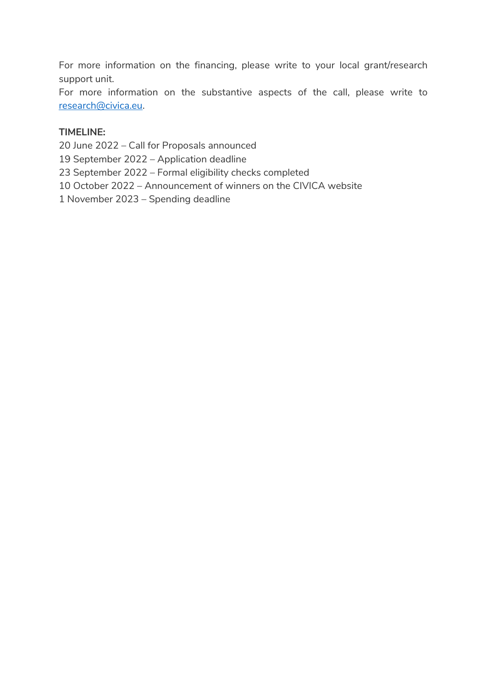For more information on the financing, please write to your local grant/research support unit.

For more information on the substantive aspects of the call, please write to [research@civica.eu.](mailto:research@civica.eu)

#### **TIMELINE:**

20 June 2022 – Call for Proposals announced

19 September 2022 – Application deadline

23 September 2022 – Formal eligibility checks completed

10 October 2022 – Announcement of winners on the CIVICA website

1 November 2023 – Spending deadline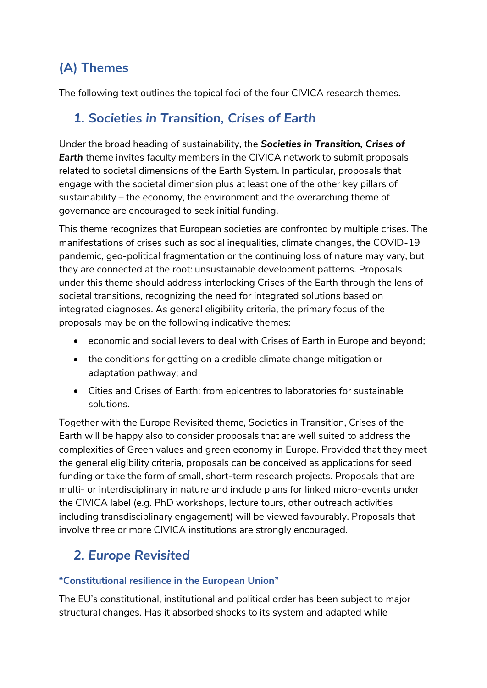# **(A) Themes**

The following text outlines the topical foci of the four CIVICA research themes.

### *1. Societies in Transition, Crises of Earth*

Under the broad heading of sustainability, the *Societies in Transition, Crises of Earth* theme invites faculty members in the CIVICA network to submit proposals related to societal dimensions of the Earth System. In particular, proposals that engage with the societal dimension plus at least one of the other key pillars of sustainability – the economy, the environment and the overarching theme of governance are encouraged to seek initial funding.

This theme recognizes that European societies are confronted by multiple crises. The manifestations of crises such as social inequalities, climate changes, the COVID-19 pandemic, geo-political fragmentation or the continuing loss of nature may vary, but they are connected at the root: unsustainable development patterns. Proposals under this theme should address interlocking Crises of the Earth through the lens of societal transitions, recognizing the need for integrated solutions based on integrated diagnoses. As general eligibility criteria, the primary focus of the proposals may be on the following indicative themes:

- economic and social levers to deal with Crises of Earth in Europe and beyond;
- the conditions for getting on a credible climate change mitigation or adaptation pathway; and
- Cities and Crises of Earth: from epicentres to laboratories for sustainable solutions.

Together with the Europe Revisited theme, Societies in Transition, Crises of the Earth will be happy also to consider proposals that are well suited to address the complexities of Green values and green economy in Europe. Provided that they meet the general eligibility criteria, proposals can be conceived as applications for seed funding or take the form of small, short-term research projects. Proposals that are multi- or interdisciplinary in nature and include plans for linked micro-events under the CIVICA label (e.g. PhD workshops, lecture tours, other outreach activities including transdisciplinary engagement) will be viewed favourably. Proposals that involve three or more CIVICA institutions are strongly encouraged.

### *2. Europe Revisited*

#### **"Constitutional resilience in the European Union"**

The EU's constitutional, institutional and political order has been subject to major structural changes. Has it absorbed shocks to its system and adapted while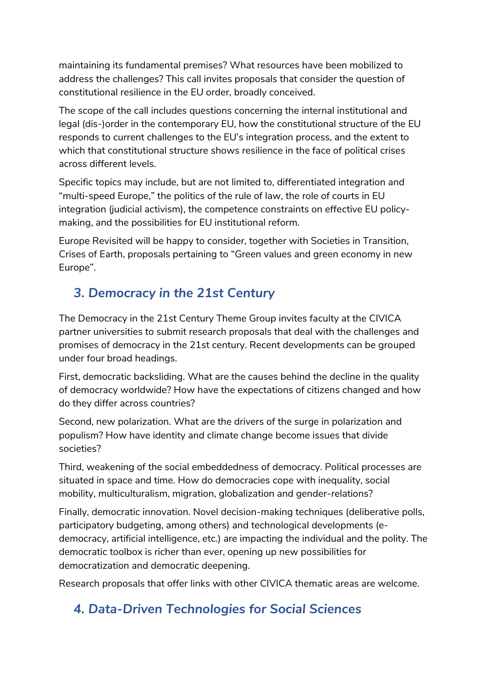maintaining its fundamental premises? What resources have been mobilized to address the challenges? This call invites proposals that consider the question of constitutional resilience in the EU order, broadly conceived.

The scope of the call includes questions concerning the internal institutional and legal (dis-)order in the contemporary EU, how the constitutional structure of the EU responds to current challenges to the EU's integration process, and the extent to which that constitutional structure shows resilience in the face of political crises across different levels.

Specific topics may include, but are not limited to, differentiated integration and "multi-speed Europe," the politics of the rule of law, the role of courts in EU integration (judicial activism), the competence constraints on effective EU policymaking, and the possibilities for EU institutional reform.

Europe Revisited will be happy to consider, together with Societies in Transition, Crises of Earth, proposals pertaining to "Green values and green economy in new Europe".

### *3. Democracy in the 21st Century*

The Democracy in the 21st Century Theme Group invites faculty at the CIVICA partner universities to submit research proposals that deal with the challenges and promises of democracy in the 21st century. Recent developments can be grouped under four broad headings.

First, democratic backsliding. What are the causes behind the decline in the quality of democracy worldwide? How have the expectations of citizens changed and how do they differ across countries?

Second, new polarization. What are the drivers of the surge in polarization and populism? How have identity and climate change become issues that divide societies?

Third, weakening of the social embeddedness of democracy. Political processes are situated in space and time. How do democracies cope with inequality, social mobility, multiculturalism, migration, globalization and gender-relations?

Finally, democratic innovation. Novel decision-making techniques (deliberative polls, participatory budgeting, among others) and technological developments (edemocracy, artificial intelligence, etc.) are impacting the individual and the polity. The democratic toolbox is richer than ever, opening up new possibilities for democratization and democratic deepening.

Research proposals that offer links with other CIVICA thematic areas are welcome.

### *4. Data-Driven Technologies for Social Sciences*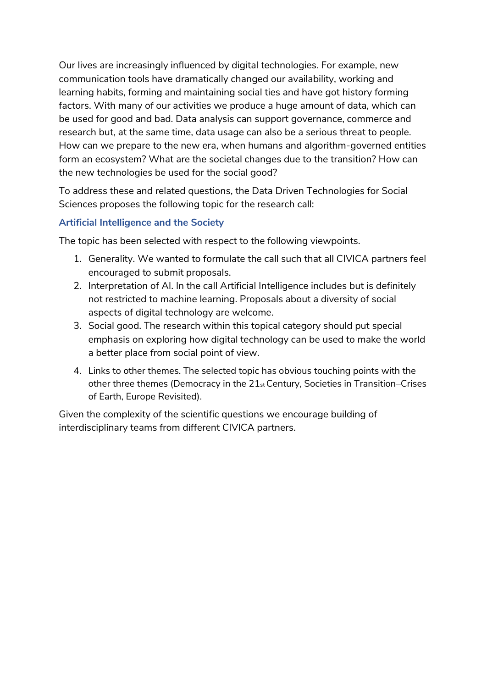Our lives are increasingly influenced by digital technologies. For example, new communication tools have dramatically changed our availability, working and learning habits, forming and maintaining social ties and have got history forming factors. With many of our activities we produce a huge amount of data, which can be used for good and bad. Data analysis can support governance, commerce and research but, at the same time, data usage can also be a serious threat to people. How can we prepare to the new era, when humans and algorithm-governed entities form an ecosystem? What are the societal changes due to the transition? How can the new technologies be used for the social good?

To address these and related questions, the Data Driven Technologies for Social Sciences proposes the following topic for the research call:

#### **Artificial Intelligence and the Society**

The topic has been selected with respect to the following viewpoints.

- 1. Generality. We wanted to formulate the call such that all CIVICA partners feel encouraged to submit proposals.
- 2. Interpretation of AI. In the call Artificial Intelligence includes but is definitely not restricted to machine learning. Proposals about a diversity of social aspects of digital technology are welcome.
- 3. Social good. The research within this topical category should put special emphasis on exploring how digital technology can be used to make the world a better place from social point of view.
- 4. Links to other themes. The selected topic has obvious touching points with the other three themes (Democracy in the 21st Century, Societies in Transition–Crises of Earth, Europe Revisited).

Given the complexity of the scientific questions we encourage building of interdisciplinary teams from different CIVICA partners.